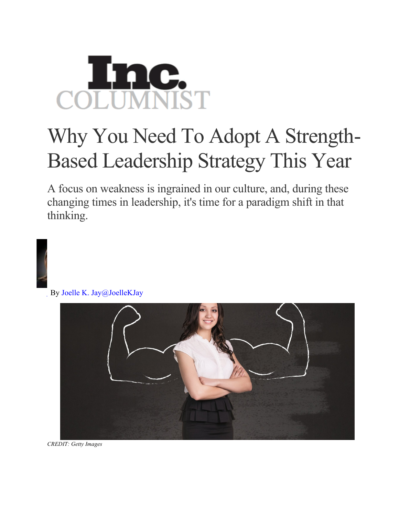

## Why You Need To Adopt A Strength-Based Leadership Strategy This Year

A focus on weakness is ingrained in our culture, and, during these changing times in leadership, it's time for a paradigm shift in that thinking.



By Joelle K. Jay@JoelleKJay



*CREDIT: Getty Images*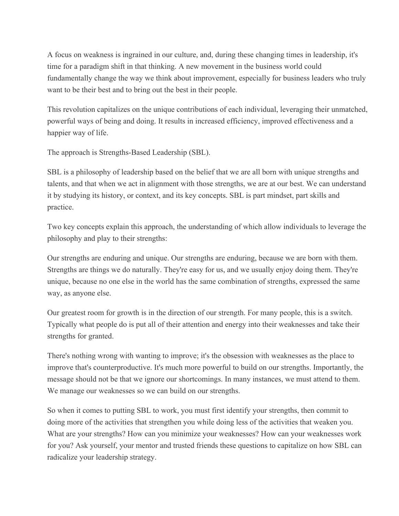A focus on weakness is ingrained in our culture, and, during these changing times in leadership, it's time for a paradigm shift in that thinking. A new movement in the business world could fundamentally change the way we think about improvement, especially for business leaders who truly want to be their best and to bring out the best in their people.

This revolution capitalizes on the unique contributions of each individual, leveraging their unmatched, powerful ways of being and doing. It results in increased efficiency, improved effectiveness and a happier way of life.

The approach is Strengths-Based Leadership (SBL).

SBL is a philosophy of leadership based on the belief that we are all born with unique strengths and talents, and that when we act in alignment with those strengths, we are at our best. We can understand it by studying its history, or context, and its key concepts. SBL is part mindset, part skills and practice.

Two key concepts explain this approach, the understanding of which allow individuals to leverage the philosophy and play to their strengths:

Our strengths are enduring and unique. Our strengths are enduring, because we are born with them. Strengths are things we do naturally. They're easy for us, and we usually enjoy doing them. They're unique, because no one else in the world has the same combination of strengths, expressed the same way, as anyone else.

Our greatest room for growth is in the direction of our strength. For many people, this is a switch. Typically what people do is put all of their attention and energy into their weaknesses and take their strengths for granted.

There's nothing wrong with wanting to improve; it's the obsession with weaknesses as the place to improve that's counterproductive. It's much more powerful to build on our strengths. Importantly, the message should not be that we ignore our shortcomings. In many instances, we must attend to them. We manage our weaknesses so we can build on our strengths.

So when it comes to putting SBL to work, you must first identify your strengths, then commit to doing more of the activities that strengthen you while doing less of the activities that weaken you. What are your strengths? How can you minimize your weaknesses? How can your weaknesses work for you? Ask yourself, your mentor and trusted friends these questions to capitalize on how SBL can radicalize your leadership strategy.